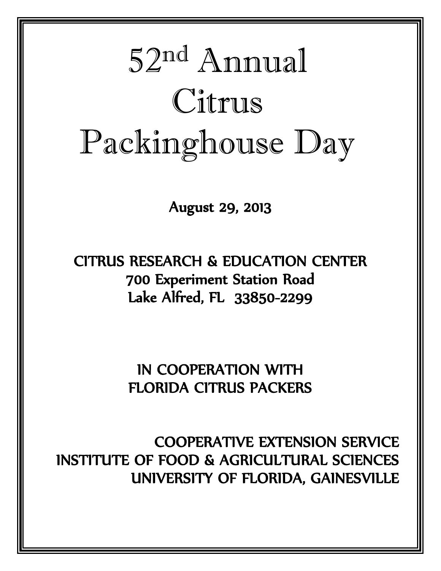# 52 nd Annual Citrus Packinghouse Day

August 29, 2013

CITRUS RESEARCH & EDUCATION CENTER 700 Experiment Station Road Lake Alfred, FL 33850-2299

> IN COOPERATION WITH FLORIDA CITRUS PACKERS

COOPERATIVE EXTENSION SERVICE INSTITUTE OF FOOD & AGRICULTURAL SCIENCES UNIVERSITY OF FLORIDA, GAINESVILLE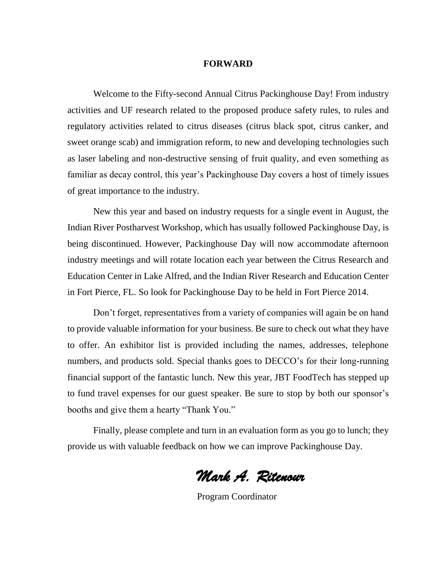#### **FORWARD**

Welcome to the Fifty-second Annual Citrus Packinghouse Day! From industry activities and UF research related to the proposed produce safety rules, to rules and regulatory activities related to citrus diseases (citrus black spot, citrus canker, and sweet orange scab) and immigration reform, to new and developing technologies such as laser labeling and non-destructive sensing of fruit quality, and even something as familiar as decay control, this year's Packinghouse Day covers a host of timely issues of great importance to the industry.

New this year and based on industry requests for a single event in August, the Indian River Postharvest Workshop, which has usually followed Packinghouse Day, is being discontinued. However, Packinghouse Day will now accommodate afternoon industry meetings and will rotate location each year between the Citrus Research and Education Center in Lake Alfred, and the Indian River Research and Education Center in Fort Pierce, FL. So look for Packinghouse Day to be held in Fort Pierce 2014.

Don't forget, representatives from a variety of companies will again be on hand to provide valuable information for your business. Be sure to check out what they have to offer. An exhibitor list is provided including the names, addresses, telephone numbers, and products sold. Special thanks goes to DECCO's for their long-running financial support of the fantastic lunch. New this year, JBT FoodTech has stepped up to fund travel expenses for our guest speaker. Be sure to stop by both our sponsor's booths and give them a hearty "Thank You."

Finally, please complete and turn in an evaluation form as you go to lunch; they provide us with valuable feedback on how we can improve Packinghouse Day.

*Mark A. Ritenour* 

Program Coordinator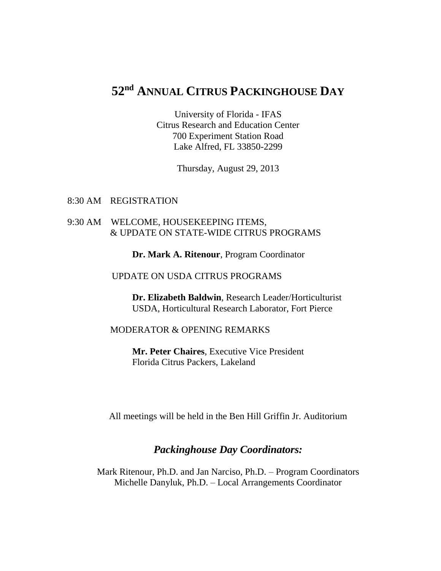# **52 nd ANNUAL CITRUS PACKINGHOUSE DAY**

University of Florida - IFAS Citrus Research and Education Center 700 Experiment Station Road Lake Alfred, FL 33850-2299

Thursday, August 29, 2013

8:30 AM REGISTRATION

#### 9:30 AM WELCOME, HOUSEKEEPING ITEMS, & UPDATE ON STATE-WIDE CITRUS PROGRAMS

**Dr. Mark A. Ritenour**, Program Coordinator

#### UPDATE ON USDA CITRUS PROGRAMS

 **Dr. Elizabeth Baldwin**, Research Leader/Horticulturist USDA, Horticultural Research Laborator, Fort Pierce

#### MODERATOR & OPENING REMARKS

**Mr. Peter Chaires**, Executive Vice President Florida Citrus Packers, Lakeland

All meetings will be held in the Ben Hill Griffin Jr. Auditorium

### *Packinghouse Day Coordinators:*

Mark Ritenour, Ph.D. and Jan Narciso, Ph.D. – Program Coordinators Michelle Danyluk, Ph.D. – Local Arrangements Coordinator